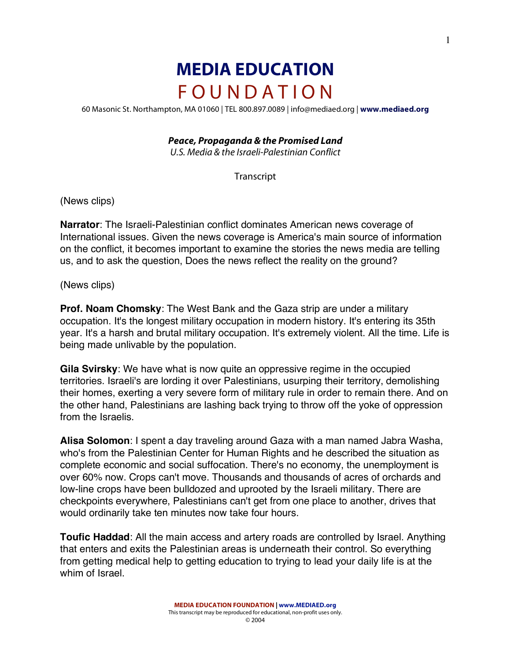# **MEDIA EDUCATION** F O U N D A T I O N

60 Masonic St. Northampton, MA 01060 | TEL 800.897.0089 | info@mediaed.org | **www.mediaed.org**

#### *Peace, Propaganda & the Promised Land*

U.S. Media & the Israeli-Palestinian Conflict

**Transcript** 

(News clips)

**Narrator**: The Israeli-Palestinian conflict dominates American news coverage of International issues. Given the news coverage is America's main source of information on the conflict, it becomes important to examine the stories the news media are telling us, and to ask the question, Does the news reflect the reality on the ground?

(News clips)

**Prof. Noam Chomsky**: The West Bank and the Gaza strip are under a military occupation. It's the longest military occupation in modern history. It's entering its 35th year. It's a harsh and brutal military occupation. It's extremely violent. All the time. Life is being made unlivable by the population.

**Gila Svirsky**: We have what is now quite an oppressive regime in the occupied territories. Israeli's are lording it over Palestinians, usurping their territory, demolishing their homes, exerting a very severe form of military rule in order to remain there. And on the other hand, Palestinians are lashing back trying to throw off the yoke of oppression from the Israelis.

**Alisa Solomon**: I spent a day traveling around Gaza with a man named Jabra Washa, who's from the Palestinian Center for Human Rights and he described the situation as complete economic and social suffocation. There's no economy, the unemployment is over 60% now. Crops can't move. Thousands and thousands of acres of orchards and low-line crops have been bulldozed and uprooted by the Israeli military. There are checkpoints everywhere, Palestinians can't get from one place to another, drives that would ordinarily take ten minutes now take four hours.

**Toufic Haddad**: All the main access and artery roads are controlled by Israel. Anything that enters and exits the Palestinian areas is underneath their control. So everything from getting medical help to getting education to trying to lead your daily life is at the whim of Israel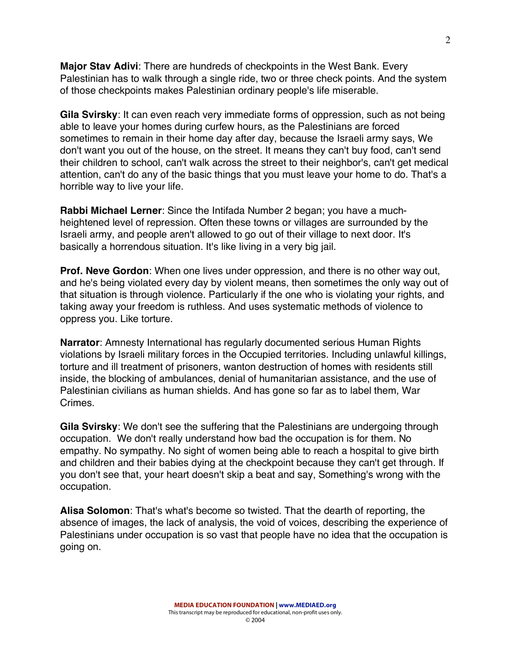**Major Stav Adivi**: There are hundreds of checkpoints in the West Bank. Every Palestinian has to walk through a single ride, two or three check points. And the system of those checkpoints makes Palestinian ordinary people's life miserable.

**Gila Svirsky**: It can even reach very immediate forms of oppression, such as not being able to leave your homes during curfew hours, as the Palestinians are forced sometimes to remain in their home day after day, because the Israeli army says, We don't want you out of the house, on the street. It means they can't buy food, can't send their children to school, can't walk across the street to their neighbor's, can't get medical attention, can't do any of the basic things that you must leave your home to do. That's a horrible way to live your life.

**Rabbi Michael Lerner**: Since the Intifada Number 2 began; you have a muchheightened level of repression. Often these towns or villages are surrounded by the Israeli army, and people aren't allowed to go out of their village to next door. It's basically a horrendous situation. It's like living in a very big jail.

**Prof. Neve Gordon**: When one lives under oppression, and there is no other way out, and he's being violated every day by violent means, then sometimes the only way out of that situation is through violence. Particularly if the one who is violating your rights, and taking away your freedom is ruthless. And uses systematic methods of violence to oppress you. Like torture.

**Narrator**: Amnesty International has regularly documented serious Human Rights violations by Israeli military forces in the Occupied territories. Including unlawful killings, torture and ill treatment of prisoners, wanton destruction of homes with residents still inside, the blocking of ambulances, denial of humanitarian assistance, and the use of Palestinian civilians as human shields. And has gone so far as to label them, War Crimes.

**Gila Svirsky**: We don't see the suffering that the Palestinians are undergoing through occupation. We don't really understand how bad the occupation is for them. No empathy. No sympathy. No sight of women being able to reach a hospital to give birth and children and their babies dying at the checkpoint because they can't get through. If you don't see that, your heart doesn't skip a beat and say, Something's wrong with the occupation.

**Alisa Solomon**: That's what's become so twisted. That the dearth of reporting, the absence of images, the lack of analysis, the void of voices, describing the experience of Palestinians under occupation is so vast that people have no idea that the occupation is going on.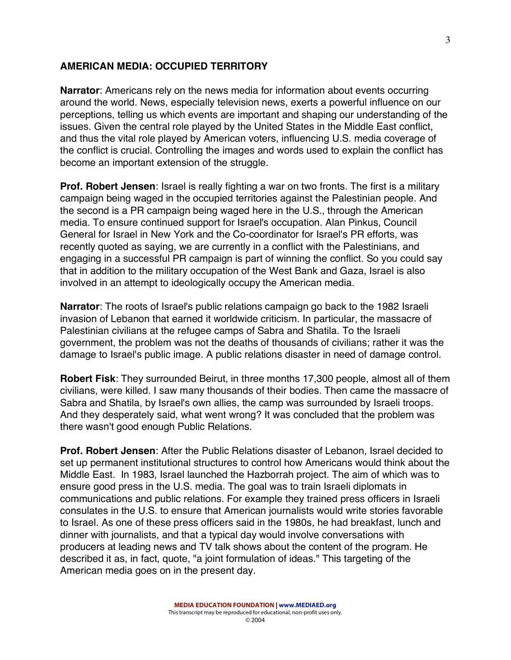#### **AMERICAN MEDIA: OCCUPIED TERRITORY**

**Narrator**: Americans rely on the news media for information about events occurring around the world. News, especially television news, exerts a powerful influence on our perceptions, telling us which events are important and shaping our understanding of the issues. Given the central role played by the United States in the Middle East conflict, and thus the vital role played by American voters, influencing U.S. media coverage of the conflict is crucial. Controlling the images and words used to explain the conflict has become an important extension of the struggle.

**Prof. Robert Jensen**: Israel is really fighting a war on two fronts. The first is a military campaign being waged in the occupied territories against the Palestinian people. And the second is a PR campaign being waged here in the U.S., through the American media. To ensure continued support for Israel's occupation. Alan Pinkus, Council General for Israel in New York and the Co-coordinator for Israel's PR efforts, was recently quoted as saying, we are currently in a conflict with the Palestinians, and engaging in a successful PR campaign is part of winning the conflict. So you could say that in addition to the military occupation of the West Bank and Gaza, Israel is also involved in an attempt to ideologically occupy the American media.

**Narrator**: The roots of Israel's public relations campaign go back to the 1982 Israeli invasion of Lebanon that earned it worldwide criticism. In particular, the massacre of Palestinian civilians at the refugee camps of Sabra and Shatila. To the Israeli government, the problem was not the deaths of thousands of civilians; rather it was the damage to Israel's public image. A public relations disaster in need of damage control.

**Robert Fisk**: They surrounded Beirut, in three months 17,300 people, almost all of them civilians, were killed. I saw many thousands of their bodies. Then came the massacre of Sabra and Shatila, by Israel's own allies, the camp was surrounded by Israeli troops. And they desperately said, what went wrong? It was concluded that the problem was there wasn't good enough Public Relations.

**Prof. Robert Jensen**: After the Public Relations disaster of Lebanon, Israel decided to set up permanent institutional structures to control how Americans would think about the Middle East. In 1983, Israel launched the Hazborrah project. The aim of which was to ensure good press in the U.S. media. The goal was to train Israeli diplomats in communications and public relations. For example they trained press officers in Israeli consulates in the U.S. to ensure that American journalists would write stories favorable to Israel. As one of these press officers said in the 1980s, he had breakfast, lunch and dinner with journalists, and that a typical day would involve conversations with producers at leading news and TV talk shows about the content of the program. He described it as, in fact, quote, "a joint formulation of ideas." This targeting of the American media goes on in the present day.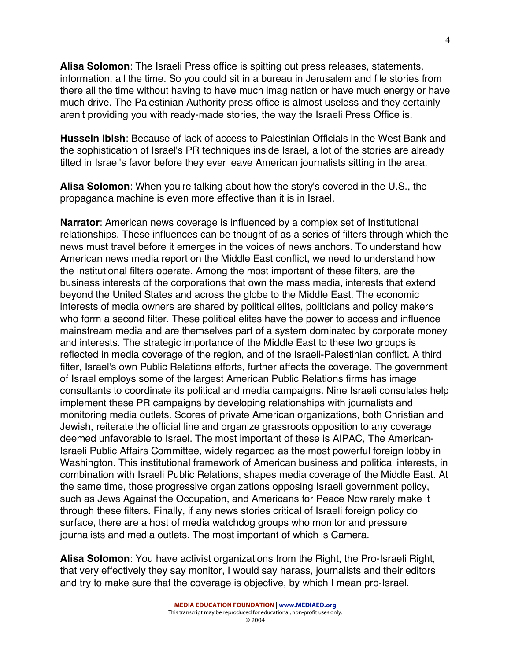**Alisa Solomon**: The Israeli Press office is spitting out press releases, statements, information, all the time. So you could sit in a bureau in Jerusalem and file stories from there all the time without having to have much imagination or have much energy or have much drive. The Palestinian Authority press office is almost useless and they certainly aren't providing you with ready-made stories, the way the Israeli Press Office is.

**Hussein Ibish**: Because of lack of access to Palestinian Officials in the West Bank and the sophistication of Israel's PR techniques inside Israel, a lot of the stories are already tilted in Israel's favor before they ever leave American journalists sitting in the area.

**Alisa Solomon**: When you're talking about how the story's covered in the U.S., the propaganda machine is even more effective than it is in Israel.

**Narrator**: American news coverage is influenced by a complex set of Institutional relationships. These influences can be thought of as a series of filters through which the news must travel before it emerges in the voices of news anchors. To understand how American news media report on the Middle East conflict, we need to understand how the institutional filters operate. Among the most important of these filters, are the business interests of the corporations that own the mass media, interests that extend beyond the United States and across the globe to the Middle East. The economic interests of media owners are shared by political elites, politicians and policy makers who form a second filter. These political elites have the power to access and influence mainstream media and are themselves part of a system dominated by corporate money and interests. The strategic importance of the Middle East to these two groups is reflected in media coverage of the region, and of the Israeli-Palestinian conflict. A third filter, Israel's own Public Relations efforts, further affects the coverage. The government of Israel employs some of the largest American Public Relations firms has image consultants to coordinate its political and media campaigns. Nine Israeli consulates help implement these PR campaigns by developing relationships with journalists and monitoring media outlets. Scores of private American organizations, both Christian and Jewish, reiterate the official line and organize grassroots opposition to any coverage deemed unfavorable to Israel. The most important of these is AIPAC, The American-Israeli Public Affairs Committee, widely regarded as the most powerful foreign lobby in Washington. This institutional framework of American business and political interests, in combination with Israeli Public Relations, shapes media coverage of the Middle East. At the same time, those progressive organizations opposing Israeli government policy, such as Jews Against the Occupation, and Americans for Peace Now rarely make it through these filters. Finally, if any news stories critical of Israeli foreign policy do surface, there are a host of media watchdog groups who monitor and pressure journalists and media outlets. The most important of which is Camera.

**Alisa Solomon**: You have activist organizations from the Right, the Pro-Israeli Right, that very effectively they say monitor, I would say harass, journalists and their editors and try to make sure that the coverage is objective, by which I mean pro-Israel.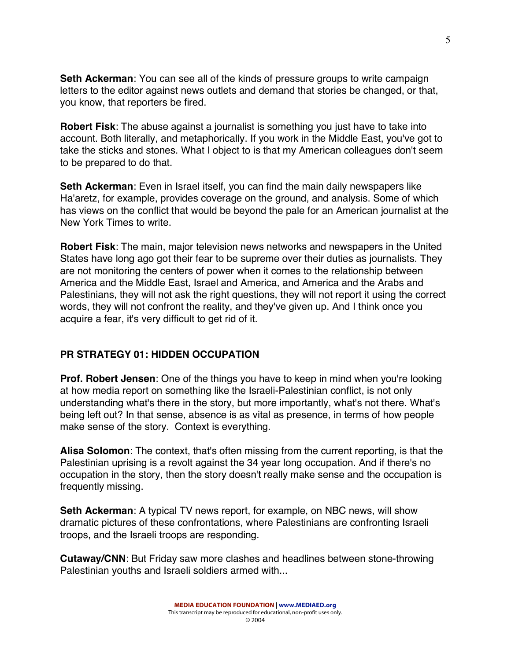**Seth Ackerman**: You can see all of the kinds of pressure groups to write campaign letters to the editor against news outlets and demand that stories be changed, or that, you know, that reporters be fired.

**Robert Fisk**: The abuse against a journalist is something you just have to take into account. Both literally, and metaphorically. If you work in the Middle East, you've got to take the sticks and stones. What I object to is that my American colleagues don't seem to be prepared to do that.

**Seth Ackerman**: Even in Israel itself, you can find the main daily newspapers like Ha'aretz, for example, provides coverage on the ground, and analysis. Some of which has views on the conflict that would be beyond the pale for an American journalist at the New York Times to write.

**Robert Fisk**: The main, major television news networks and newspapers in the United States have long ago got their fear to be supreme over their duties as journalists. They are not monitoring the centers of power when it comes to the relationship between America and the Middle East, Israel and America, and America and the Arabs and Palestinians, they will not ask the right questions, they will not report it using the correct words, they will not confront the reality, and they've given up. And I think once you acquire a fear, it's very difficult to get rid of it.

# **PR STRATEGY 01: HIDDEN OCCUPATION**

**Prof. Robert Jensen**: One of the things you have to keep in mind when you're looking at how media report on something like the Israeli-Palestinian conflict, is not only understanding what's there in the story, but more importantly, what's not there. What's being left out? In that sense, absence is as vital as presence, in terms of how people make sense of the story. Context is everything.

**Alisa Solomon**: The context, that's often missing from the current reporting, is that the Palestinian uprising is a revolt against the 34 year long occupation. And if there's no occupation in the story, then the story doesn't really make sense and the occupation is frequently missing.

**Seth Ackerman**: A typical TV news report, for example, on NBC news, will show dramatic pictures of these confrontations, where Palestinians are confronting Israeli troops, and the Israeli troops are responding.

**Cutaway/CNN**: But Friday saw more clashes and headlines between stone-throwing Palestinian youths and Israeli soldiers armed with...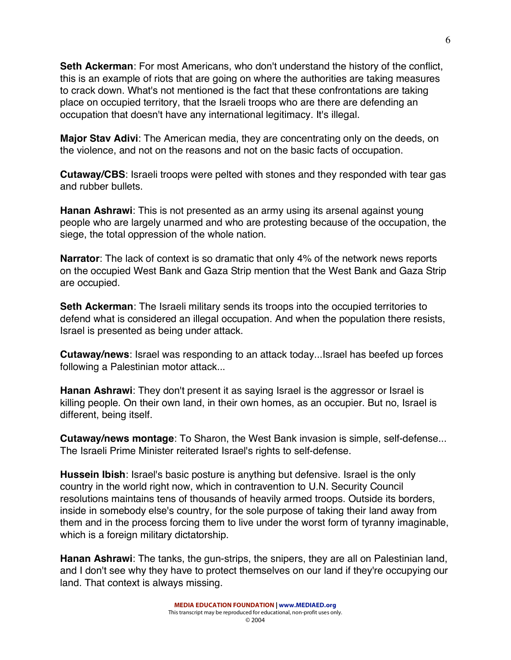**Seth Ackerman**: For most Americans, who don't understand the history of the conflict, this is an example of riots that are going on where the authorities are taking measures to crack down. What's not mentioned is the fact that these confrontations are taking place on occupied territory, that the Israeli troops who are there are defending an occupation that doesn't have any international legitimacy. It's illegal.

**Major Stav Adivi**: The American media, they are concentrating only on the deeds, on the violence, and not on the reasons and not on the basic facts of occupation.

**Cutaway/CBS**: Israeli troops were pelted with stones and they responded with tear gas and rubber bullets.

**Hanan Ashrawi**: This is not presented as an army using its arsenal against young people who are largely unarmed and who are protesting because of the occupation, the siege, the total oppression of the whole nation.

**Narrator**: The lack of context is so dramatic that only 4% of the network news reports on the occupied West Bank and Gaza Strip mention that the West Bank and Gaza Strip are occupied.

**Seth Ackerman**: The Israeli military sends its troops into the occupied territories to defend what is considered an illegal occupation. And when the population there resists, Israel is presented as being under attack.

**Cutaway/news**: Israel was responding to an attack today...Israel has beefed up forces following a Palestinian motor attack...

**Hanan Ashrawi**: They don't present it as saying Israel is the aggressor or Israel is killing people. On their own land, in their own homes, as an occupier. But no, Israel is different, being itself.

**Cutaway/news montage**: To Sharon, the West Bank invasion is simple, self-defense... The Israeli Prime Minister reiterated Israel's rights to self-defense.

**Hussein Ibish**: Israel's basic posture is anything but defensive. Israel is the only country in the world right now, which in contravention to U.N. Security Council resolutions maintains tens of thousands of heavily armed troops. Outside its borders, inside in somebody else's country, for the sole purpose of taking their land away from them and in the process forcing them to live under the worst form of tyranny imaginable, which is a foreign military dictatorship.

**Hanan Ashrawi**: The tanks, the gun-strips, the snipers, they are all on Palestinian land, and I don't see why they have to protect themselves on our land if they're occupying our land. That context is always missing.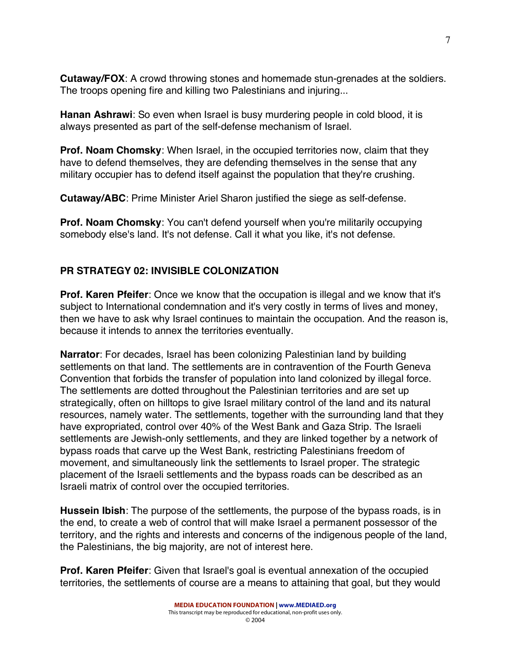**Cutaway/FOX**: A crowd throwing stones and homemade stun-grenades at the soldiers. The troops opening fire and killing two Palestinians and injuring...

**Hanan Ashrawi**: So even when Israel is busy murdering people in cold blood, it is always presented as part of the self-defense mechanism of Israel.

**Prof. Noam Chomsky**: When Israel, in the occupied territories now, claim that they have to defend themselves, they are defending themselves in the sense that any military occupier has to defend itself against the population that they're crushing.

**Cutaway/ABC**: Prime Minister Ariel Sharon justified the siege as self-defense.

**Prof. Noam Chomsky**: You can't defend yourself when you're militarily occupying somebody else's land. It's not defense. Call it what you like, it's not defense.

# **PR STRATEGY 02: INVISIBLE COLONIZATION**

**Prof. Karen Pfeifer**: Once we know that the occupation is illegal and we know that it's subject to International condemnation and it's very costly in terms of lives and money, then we have to ask why Israel continues to maintain the occupation. And the reason is, because it intends to annex the territories eventually.

**Narrator**: For decades, Israel has been colonizing Palestinian land by building settlements on that land. The settlements are in contravention of the Fourth Geneva Convention that forbids the transfer of population into land colonized by illegal force. The settlements are dotted throughout the Palestinian territories and are set up strategically, often on hilltops to give Israel military control of the land and its natural resources, namely water. The settlements, together with the surrounding land that they have expropriated, control over 40% of the West Bank and Gaza Strip. The Israeli settlements are Jewish-only settlements, and they are linked together by a network of bypass roads that carve up the West Bank, restricting Palestinians freedom of movement, and simultaneously link the settlements to Israel proper. The strategic placement of the Israeli settlements and the bypass roads can be described as an Israeli matrix of control over the occupied territories.

**Hussein Ibish**: The purpose of the settlements, the purpose of the bypass roads, is in the end, to create a web of control that will make Israel a permanent possessor of the territory, and the rights and interests and concerns of the indigenous people of the land, the Palestinians, the big majority, are not of interest here.

**Prof. Karen Pfeifer**: Given that Israel's goal is eventual annexation of the occupied territories, the settlements of course are a means to attaining that goal, but they would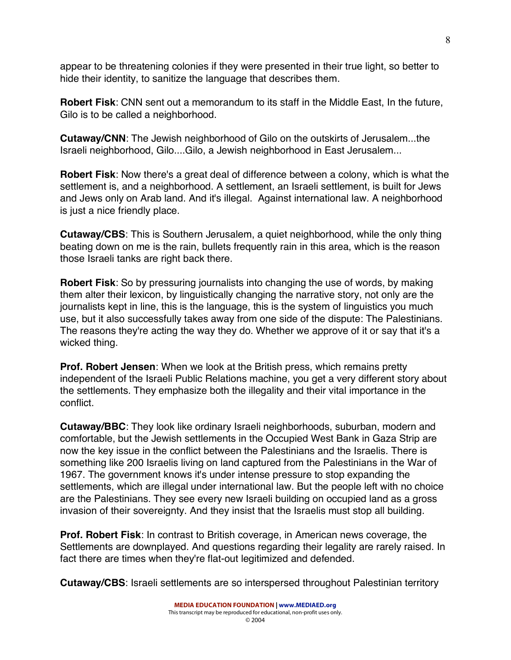appear to be threatening colonies if they were presented in their true light, so better to hide their identity, to sanitize the language that describes them.

**Robert Fisk**: CNN sent out a memorandum to its staff in the Middle East, In the future, Gilo is to be called a neighborhood.

**Cutaway/CNN**: The Jewish neighborhood of Gilo on the outskirts of Jerusalem...the Israeli neighborhood, Gilo....Gilo, a Jewish neighborhood in East Jerusalem...

**Robert Fisk**: Now there's a great deal of difference between a colony, which is what the settlement is, and a neighborhood. A settlement, an Israeli settlement, is built for Jews and Jews only on Arab land. And it's illegal. Against international law. A neighborhood is just a nice friendly place.

**Cutaway/CBS**: This is Southern Jerusalem, a quiet neighborhood, while the only thing beating down on me is the rain, bullets frequently rain in this area, which is the reason those Israeli tanks are right back there.

**Robert Fisk**: So by pressuring journalists into changing the use of words, by making them alter their lexicon, by linguistically changing the narrative story, not only are the journalists kept in line, this is the language, this is the system of linguistics you much use, but it also successfully takes away from one side of the dispute: The Palestinians. The reasons they're acting the way they do. Whether we approve of it or say that it's a wicked thing.

**Prof. Robert Jensen**: When we look at the British press, which remains pretty independent of the Israeli Public Relations machine, you get a very different story about the settlements. They emphasize both the illegality and their vital importance in the conflict.

**Cutaway/BBC**: They look like ordinary Israeli neighborhoods, suburban, modern and comfortable, but the Jewish settlements in the Occupied West Bank in Gaza Strip are now the key issue in the conflict between the Palestinians and the Israelis. There is something like 200 Israelis living on land captured from the Palestinians in the War of 1967. The government knows it's under intense pressure to stop expanding the settlements, which are illegal under international law. But the people left with no choice are the Palestinians. They see every new Israeli building on occupied land as a gross invasion of their sovereignty. And they insist that the Israelis must stop all building.

**Prof. Robert Fisk**: In contrast to British coverage, in American news coverage, the Settlements are downplayed. And questions regarding their legality are rarely raised. In fact there are times when they're flat-out legitimized and defended.

**Cutaway/CBS**: Israeli settlements are so interspersed throughout Palestinian territory

8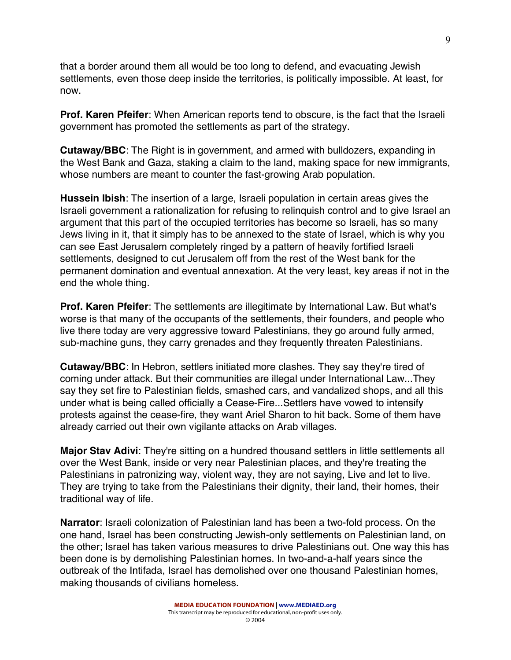that a border around them all would be too long to defend, and evacuating Jewish settlements, even those deep inside the territories, is politically impossible. At least, for now.

**Prof. Karen Pfeifer**: When American reports tend to obscure, is the fact that the Israeli government has promoted the settlements as part of the strategy.

**Cutaway/BBC**: The Right is in government, and armed with bulldozers, expanding in the West Bank and Gaza, staking a claim to the land, making space for new immigrants, whose numbers are meant to counter the fast-growing Arab population.

**Hussein Ibish**: The insertion of a large, Israeli population in certain areas gives the Israeli government a rationalization for refusing to relinquish control and to give Israel an argument that this part of the occupied territories has become so Israeli, has so many Jews living in it, that it simply has to be annexed to the state of Israel, which is why you can see East Jerusalem completely ringed by a pattern of heavily fortified Israeli settlements, designed to cut Jerusalem off from the rest of the West bank for the permanent domination and eventual annexation. At the very least, key areas if not in the end the whole thing.

**Prof. Karen Pfeifer**: The settlements are illegitimate by International Law. But what's worse is that many of the occupants of the settlements, their founders, and people who live there today are very aggressive toward Palestinians, they go around fully armed, sub-machine guns, they carry grenades and they frequently threaten Palestinians.

**Cutaway/BBC**: In Hebron, settlers initiated more clashes. They say they're tired of coming under attack. But their communities are illegal under International Law...They say they set fire to Palestinian fields, smashed cars, and vandalized shops, and all this under what is being called officially a Cease-Fire...Settlers have vowed to intensify protests against the cease-fire, they want Ariel Sharon to hit back. Some of them have already carried out their own vigilante attacks on Arab villages.

**Major Stav Adivi**: They're sitting on a hundred thousand settlers in little settlements all over the West Bank, inside or very near Palestinian places, and they're treating the Palestinians in patronizing way, violent way, they are not saying, Live and let to live. They are trying to take from the Palestinians their dignity, their land, their homes, their traditional way of life.

**Narrator**: Israeli colonization of Palestinian land has been a two-fold process. On the one hand, Israel has been constructing Jewish-only settlements on Palestinian land, on the other; Israel has taken various measures to drive Palestinians out. One way this has been done is by demolishing Palestinian homes. In two-and-a-half years since the outbreak of the Intifada, Israel has demolished over one thousand Palestinian homes, making thousands of civilians homeless.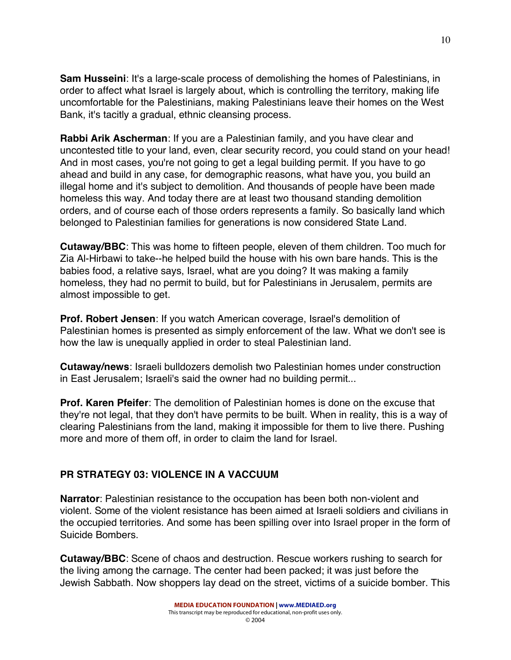**Sam Husseini:** It's a large-scale process of demolishing the homes of Palestinians, in order to affect what Israel is largely about, which is controlling the territory, making life uncomfortable for the Palestinians, making Palestinians leave their homes on the West Bank, it's tacitly a gradual, ethnic cleansing process.

**Rabbi Arik Ascherman**: If you are a Palestinian family, and you have clear and uncontested title to your land, even, clear security record, you could stand on your head! And in most cases, you're not going to get a legal building permit. If you have to go ahead and build in any case, for demographic reasons, what have you, you build an illegal home and it's subject to demolition. And thousands of people have been made homeless this way. And today there are at least two thousand standing demolition orders, and of course each of those orders represents a family. So basically land which belonged to Palestinian families for generations is now considered State Land.

**Cutaway/BBC**: This was home to fifteen people, eleven of them children. Too much for Zia Al-Hirbawi to take--he helped build the house with his own bare hands. This is the babies food, a relative says, Israel, what are you doing? It was making a family homeless, they had no permit to build, but for Palestinians in Jerusalem, permits are almost impossible to get.

**Prof. Robert Jensen**: If you watch American coverage, Israel's demolition of Palestinian homes is presented as simply enforcement of the law. What we don't see is how the law is unequally applied in order to steal Palestinian land.

**Cutaway/news**: Israeli bulldozers demolish two Palestinian homes under construction in East Jerusalem; Israeli's said the owner had no building permit...

**Prof. Karen Pfeifer**: The demolition of Palestinian homes is done on the excuse that they're not legal, that they don't have permits to be built. When in reality, this is a way of clearing Palestinians from the land, making it impossible for them to live there. Pushing more and more of them off, in order to claim the land for Israel.

# **PR STRATEGY 03: VIOLENCE IN A VACCUUM**

**Narrator**: Palestinian resistance to the occupation has been both non-violent and violent. Some of the violent resistance has been aimed at Israeli soldiers and civilians in the occupied territories. And some has been spilling over into Israel proper in the form of Suicide Bombers.

**Cutaway/BBC**: Scene of chaos and destruction. Rescue workers rushing to search for the living among the carnage. The center had been packed; it was just before the Jewish Sabbath. Now shoppers lay dead on the street, victims of a suicide bomber. This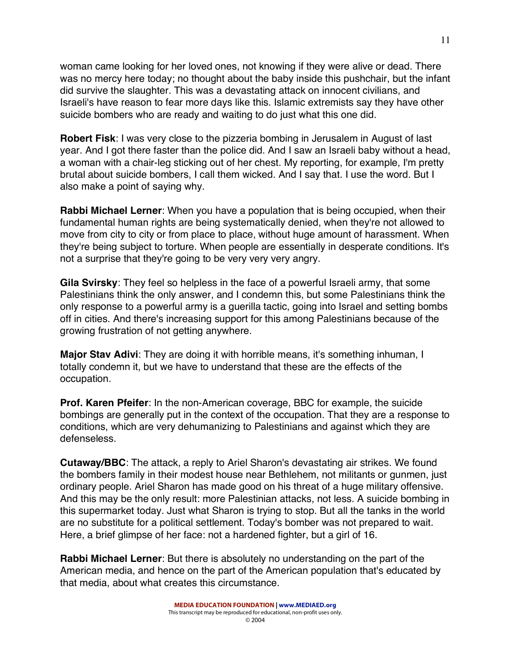woman came looking for her loved ones, not knowing if they were alive or dead. There was no mercy here today; no thought about the baby inside this pushchair, but the infant did survive the slaughter. This was a devastating attack on innocent civilians, and Israeli's have reason to fear more days like this. Islamic extremists say they have other suicide bombers who are ready and waiting to do just what this one did.

**Robert Fisk**: I was very close to the pizzeria bombing in Jerusalem in August of last year. And I got there faster than the police did. And I saw an Israeli baby without a head, a woman with a chair-leg sticking out of her chest. My reporting, for example, I'm pretty brutal about suicide bombers, I call them wicked. And I say that. I use the word. But I also make a point of saying why.

**Rabbi Michael Lerner**: When you have a population that is being occupied, when their fundamental human rights are being systematically denied, when they're not allowed to move from city to city or from place to place, without huge amount of harassment. When they're being subject to torture. When people are essentially in desperate conditions. It's not a surprise that they're going to be very very very angry.

**Gila Svirsky**: They feel so helpless in the face of a powerful Israeli army, that some Palestinians think the only answer, and I condemn this, but some Palestinians think the only response to a powerful army is a guerilla tactic, going into Israel and setting bombs off in cities. And there's increasing support for this among Palestinians because of the growing frustration of not getting anywhere.

**Major Stav Adivi**: They are doing it with horrible means, it's something inhuman, I totally condemn it, but we have to understand that these are the effects of the occupation.

**Prof. Karen Pfeifer**: In the non-American coverage, BBC for example, the suicide bombings are generally put in the context of the occupation. That they are a response to conditions, which are very dehumanizing to Palestinians and against which they are defenseless.

**Cutaway/BBC**: The attack, a reply to Ariel Sharon's devastating air strikes. We found the bombers family in their modest house near Bethlehem, not militants or gunmen, just ordinary people. Ariel Sharon has made good on his threat of a huge military offensive. And this may be the only result: more Palestinian attacks, not less. A suicide bombing in this supermarket today. Just what Sharon is trying to stop. But all the tanks in the world are no substitute for a political settlement. Today's bomber was not prepared to wait. Here, a brief glimpse of her face: not a hardened fighter, but a girl of 16.

**Rabbi Michael Lerner**: But there is absolutely no understanding on the part of the American media, and hence on the part of the American population that's educated by that media, about what creates this circumstance.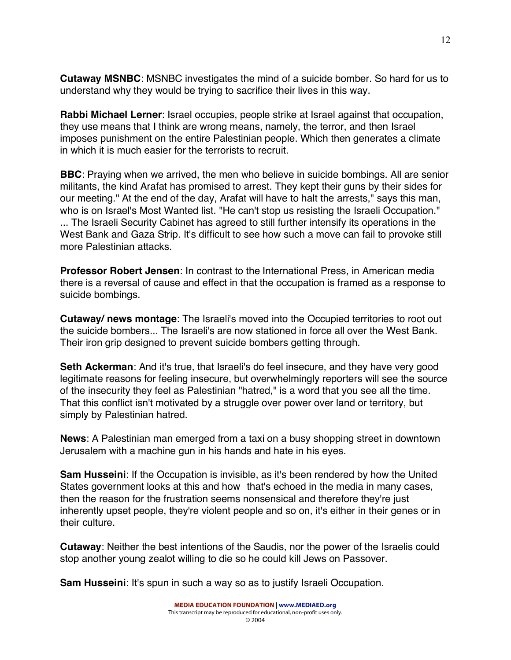**Cutaway MSNBC**: MSNBC investigates the mind of a suicide bomber. So hard for us to understand why they would be trying to sacrifice their lives in this way.

**Rabbi Michael Lerner**: Israel occupies, people strike at Israel against that occupation, they use means that I think are wrong means, namely, the terror, and then Israel imposes punishment on the entire Palestinian people. Which then generates a climate in which it is much easier for the terrorists to recruit.

**BBC**: Praying when we arrived, the men who believe in suicide bombings. All are senior militants, the kind Arafat has promised to arrest. They kept their guns by their sides for our meeting." At the end of the day, Arafat will have to halt the arrests," says this man, who is on Israel's Most Wanted list. "He can't stop us resisting the Israeli Occupation." ... The Israeli Security Cabinet has agreed to still further intensify its operations in the West Bank and Gaza Strip. It's difficult to see how such a move can fail to provoke still more Palestinian attacks.

**Professor Robert Jensen**: In contrast to the International Press, in American media there is a reversal of cause and effect in that the occupation is framed as a response to suicide bombings.

**Cutaway/ news montage**: The Israeli's moved into the Occupied territories to root out the suicide bombers... The Israeli's are now stationed in force all over the West Bank. Their iron grip designed to prevent suicide bombers getting through.

**Seth Ackerman**: And it's true, that Israeli's do feel insecure, and they have very good legitimate reasons for feeling insecure, but overwhelmingly reporters will see the source of the insecurity they feel as Palestinian "hatred," is a word that you see all the time. That this conflict isn't motivated by a struggle over power over land or territory, but simply by Palestinian hatred.

**News**: A Palestinian man emerged from a taxi on a busy shopping street in downtown Jerusalem with a machine gun in his hands and hate in his eyes.

**Sam Husseini**: If the Occupation is invisible, as it's been rendered by how the United States government looks at this and how that's echoed in the media in many cases, then the reason for the frustration seems nonsensical and therefore they're just inherently upset people, they're violent people and so on, it's either in their genes or in their culture.

**Cutaway**: Neither the best intentions of the Saudis, nor the power of the Israelis could stop another young zealot willing to die so he could kill Jews on Passover.

**Sam Husseini**: It's spun in such a way so as to justify Israeli Occupation.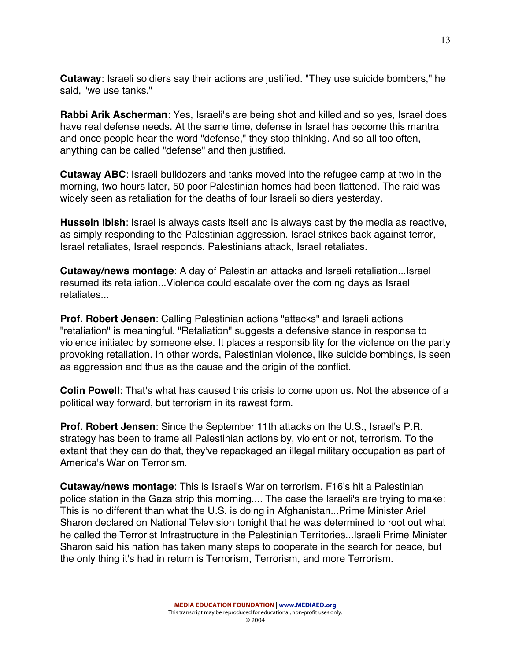**Cutaway**: Israeli soldiers say their actions are justified. "They use suicide bombers," he said, "we use tanks."

**Rabbi Arik Ascherman**: Yes, Israeli's are being shot and killed and so yes, Israel does have real defense needs. At the same time, defense in Israel has become this mantra and once people hear the word "defense," they stop thinking. And so all too often, anything can be called "defense" and then justified.

**Cutaway ABC**: Israeli bulldozers and tanks moved into the refugee camp at two in the morning, two hours later, 50 poor Palestinian homes had been flattened. The raid was widely seen as retaliation for the deaths of four Israeli soldiers yesterday.

**Hussein Ibish**: Israel is always casts itself and is always cast by the media as reactive, as simply responding to the Palestinian aggression. Israel strikes back against terror, Israel retaliates, Israel responds. Palestinians attack, Israel retaliates.

**Cutaway/news montage**: A day of Palestinian attacks and Israeli retaliation...Israel resumed its retaliation...Violence could escalate over the coming days as Israel retaliates...

**Prof. Robert Jensen**: Calling Palestinian actions "attacks" and Israeli actions "retaliation" is meaningful. "Retaliation" suggests a defensive stance in response to violence initiated by someone else. It places a responsibility for the violence on the party provoking retaliation. In other words, Palestinian violence, like suicide bombings, is seen as aggression and thus as the cause and the origin of the conflict.

**Colin Powell**: That's what has caused this crisis to come upon us. Not the absence of a political way forward, but terrorism in its rawest form.

**Prof. Robert Jensen**: Since the September 11th attacks on the U.S., Israel's P.R. strategy has been to frame all Palestinian actions by, violent or not, terrorism. To the extant that they can do that, they've repackaged an illegal military occupation as part of America's War on Terrorism.

**Cutaway/news montage**: This is Israel's War on terrorism. F16's hit a Palestinian police station in the Gaza strip this morning.... The case the Israeli's are trying to make: This is no different than what the U.S. is doing in Afghanistan...Prime Minister Ariel Sharon declared on National Television tonight that he was determined to root out what he called the Terrorist Infrastructure in the Palestinian Territories...Israeli Prime Minister Sharon said his nation has taken many steps to cooperate in the search for peace, but the only thing it's had in return is Terrorism, Terrorism, and more Terrorism.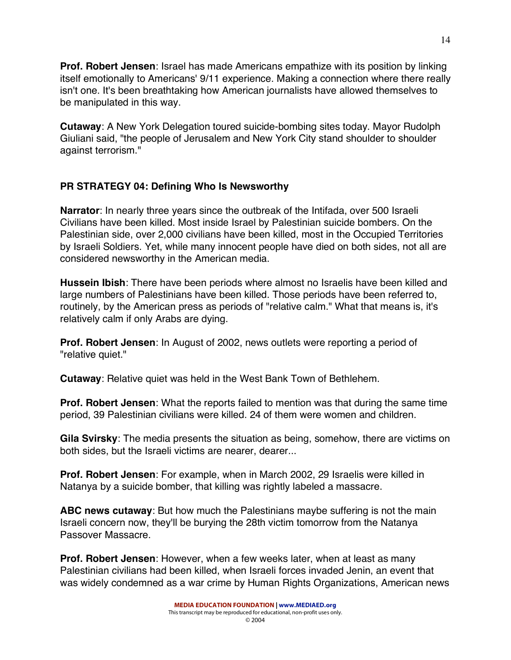**Prof. Robert Jensen**: Israel has made Americans empathize with its position by linking itself emotionally to Americans' 9/11 experience. Making a connection where there really isn't one. It's been breathtaking how American journalists have allowed themselves to be manipulated in this way.

**Cutaway**: A New York Delegation toured suicide-bombing sites today. Mayor Rudolph Giuliani said, "the people of Jerusalem and New York City stand shoulder to shoulder against terrorism."

# **PR STRATEGY 04: Defining Who Is Newsworthy**

**Narrator**: In nearly three years since the outbreak of the Intifada, over 500 Israeli Civilians have been killed. Most inside Israel by Palestinian suicide bombers. On the Palestinian side, over 2,000 civilians have been killed, most in the Occupied Territories by Israeli Soldiers. Yet, while many innocent people have died on both sides, not all are considered newsworthy in the American media.

**Hussein Ibish**: There have been periods where almost no Israelis have been killed and large numbers of Palestinians have been killed. Those periods have been referred to, routinely, by the American press as periods of "relative calm." What that means is, it's relatively calm if only Arabs are dying.

**Prof. Robert Jensen**: In August of 2002, news outlets were reporting a period of "relative quiet."

**Cutaway**: Relative quiet was held in the West Bank Town of Bethlehem.

**Prof. Robert Jensen**: What the reports failed to mention was that during the same time period, 39 Palestinian civilians were killed. 24 of them were women and children.

**Gila Svirsky**: The media presents the situation as being, somehow, there are victims on both sides, but the Israeli victims are nearer, dearer...

**Prof. Robert Jensen**: For example, when in March 2002, 29 Israelis were killed in Natanya by a suicide bomber, that killing was rightly labeled a massacre.

**ABC news cutaway**: But how much the Palestinians maybe suffering is not the main Israeli concern now, they'll be burying the 28th victim tomorrow from the Natanya Passover Massacre.

**Prof. Robert Jensen**: However, when a few weeks later, when at least as many Palestinian civilians had been killed, when Israeli forces invaded Jenin, an event that was widely condemned as a war crime by Human Rights Organizations, American news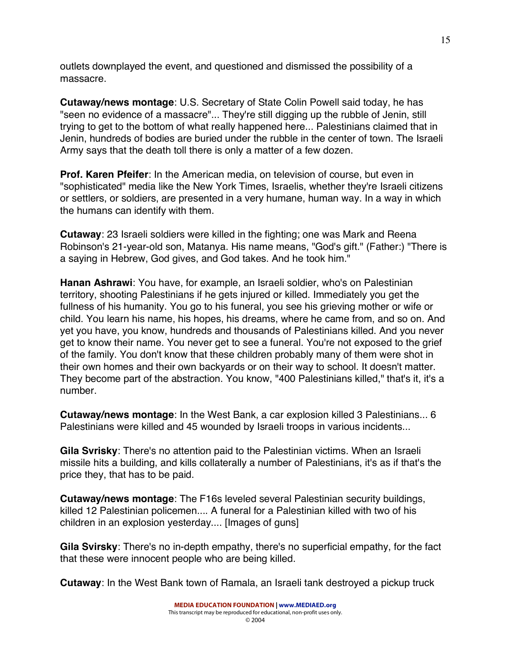outlets downplayed the event, and questioned and dismissed the possibility of a massacre.

**Cutaway/news montage**: U.S. Secretary of State Colin Powell said today, he has "seen no evidence of a massacre"... They're still digging up the rubble of Jenin, still trying to get to the bottom of what really happened here... Palestinians claimed that in Jenin, hundreds of bodies are buried under the rubble in the center of town. The Israeli Army says that the death toll there is only a matter of a few dozen.

**Prof. Karen Pfeifer**: In the American media, on television of course, but even in "sophisticated" media like the New York Times, Israelis, whether they're Israeli citizens or settlers, or soldiers, are presented in a very humane, human way. In a way in which the humans can identify with them.

**Cutaway**: 23 Israeli soldiers were killed in the fighting; one was Mark and Reena Robinson's 21-year-old son, Matanya. His name means, "God's gift." (Father:) "There is a saying in Hebrew, God gives, and God takes. And he took him."

**Hanan Ashrawi**: You have, for example, an Israeli soldier, who's on Palestinian territory, shooting Palestinians if he gets injured or killed. Immediately you get the fullness of his humanity. You go to his funeral, you see his grieving mother or wife or child. You learn his name, his hopes, his dreams, where he came from, and so on. And yet you have, you know, hundreds and thousands of Palestinians killed. And you never get to know their name. You never get to see a funeral. You're not exposed to the grief of the family. You don't know that these children probably many of them were shot in their own homes and their own backyards or on their way to school. It doesn't matter. They become part of the abstraction. You know, "400 Palestinians killed," that's it, it's a number.

**Cutaway/news montage**: In the West Bank, a car explosion killed 3 Palestinians... 6 Palestinians were killed and 45 wounded by Israeli troops in various incidents...

**Gila Svrisky**: There's no attention paid to the Palestinian victims. When an Israeli missile hits a building, and kills collaterally a number of Palestinians, it's as if that's the price they, that has to be paid.

**Cutaway/news montage**: The F16s leveled several Palestinian security buildings, killed 12 Palestinian policemen.... A funeral for a Palestinian killed with two of his children in an explosion yesterday.... [Images of guns]

**Gila Svirsky**: There's no in-depth empathy, there's no superficial empathy, for the fact that these were innocent people who are being killed.

**Cutaway**: In the West Bank town of Ramala, an Israeli tank destroyed a pickup truck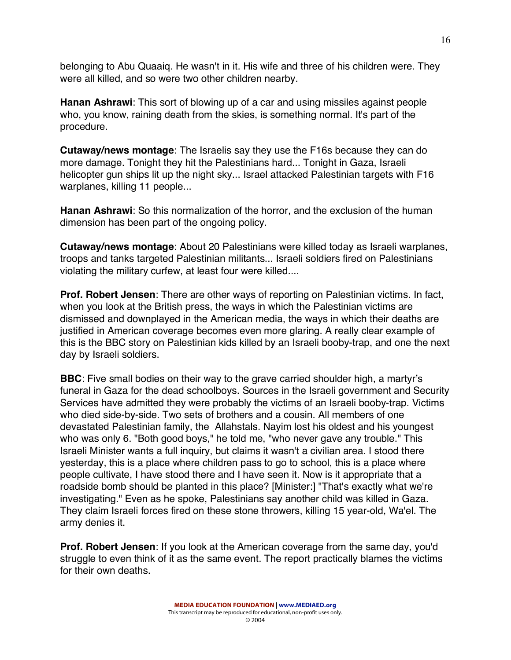belonging to Abu Quaaiq. He wasn't in it. His wife and three of his children were. They were all killed, and so were two other children nearby.

**Hanan Ashrawi**: This sort of blowing up of a car and using missiles against people who, you know, raining death from the skies, is something normal. It's part of the procedure.

**Cutaway/news montage**: The Israelis say they use the F16s because they can do more damage. Tonight they hit the Palestinians hard... Tonight in Gaza, Israeli helicopter gun ships lit up the night sky... Israel attacked Palestinian targets with F16 warplanes, killing 11 people...

**Hanan Ashrawi**: So this normalization of the horror, and the exclusion of the human dimension has been part of the ongoing policy.

**Cutaway/news montage**: About 20 Palestinians were killed today as Israeli warplanes, troops and tanks targeted Palestinian militants... Israeli soldiers fired on Palestinians violating the military curfew, at least four were killed....

**Prof. Robert Jensen**: There are other ways of reporting on Palestinian victims. In fact, when you look at the British press, the ways in which the Palestinian victims are dismissed and downplayed in the American media, the ways in which their deaths are justified in American coverage becomes even more glaring. A really clear example of this is the BBC story on Palestinian kids killed by an Israeli booby-trap, and one the next day by Israeli soldiers.

**BBC**: Five small bodies on their way to the grave carried shoulder high, a martyr's funeral in Gaza for the dead schoolboys. Sources in the Israeli government and Security Services have admitted they were probably the victims of an Israeli booby-trap. Victims who died side-by-side. Two sets of brothers and a cousin. All members of one devastated Palestinian family, the Allahstals. Nayim lost his oldest and his youngest who was only 6. "Both good boys," he told me, "who never gave any trouble." This Israeli Minister wants a full inquiry, but claims it wasn't a civilian area. I stood there yesterday, this is a place where children pass to go to school, this is a place where people cultivate, I have stood there and I have seen it. Now is it appropriate that a roadside bomb should be planted in this place? [Minister:] "That's exactly what we're investigating." Even as he spoke, Palestinians say another child was killed in Gaza. They claim Israeli forces fired on these stone throwers, killing 15 year-old, Wa'el. The army denies it.

**Prof. Robert Jensen**: If you look at the American coverage from the same day, you'd struggle to even think of it as the same event. The report practically blames the victims for their own deaths.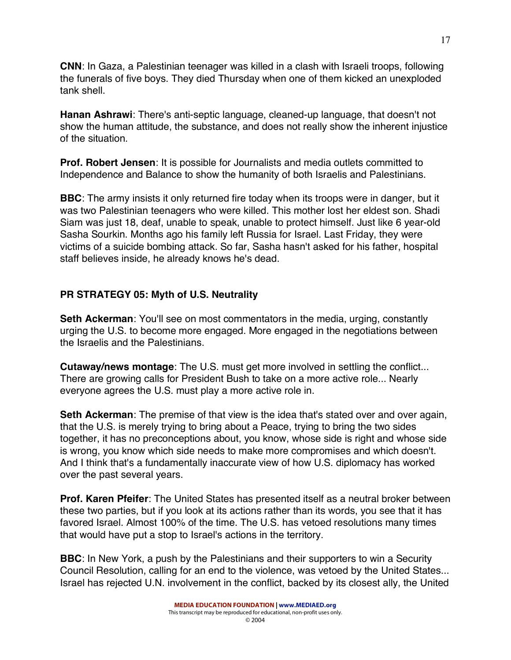**CNN**: In Gaza, a Palestinian teenager was killed in a clash with Israeli troops, following the funerals of five boys. They died Thursday when one of them kicked an unexploded tank shell.

**Hanan Ashrawi**: There's anti-septic language, cleaned-up language, that doesn't not show the human attitude, the substance, and does not really show the inherent injustice of the situation.

**Prof. Robert Jensen**: It is possible for Journalists and media outlets committed to Independence and Balance to show the humanity of both Israelis and Palestinians.

**BBC**: The army insists it only returned fire today when its troops were in danger, but it was two Palestinian teenagers who were killed. This mother lost her eldest son. Shadi Siam was just 18, deaf, unable to speak, unable to protect himself. Just like 6 year-old Sasha Sourkin. Months ago his family left Russia for Israel. Last Friday, they were victims of a suicide bombing attack. So far, Sasha hasn't asked for his father, hospital staff believes inside, he already knows he's dead.

# **PR STRATEGY 05: Myth of U.S. Neutrality**

**Seth Ackerman**: You'll see on most commentators in the media, urging, constantly urging the U.S. to become more engaged. More engaged in the negotiations between the Israelis and the Palestinians.

**Cutaway/news montage**: The U.S. must get more involved in settling the conflict... There are growing calls for President Bush to take on a more active role... Nearly everyone agrees the U.S. must play a more active role in.

**Seth Ackerman**: The premise of that view is the idea that's stated over and over again, that the U.S. is merely trying to bring about a Peace, trying to bring the two sides together, it has no preconceptions about, you know, whose side is right and whose side is wrong, you know which side needs to make more compromises and which doesn't. And I think that's a fundamentally inaccurate view of how U.S. diplomacy has worked over the past several years.

**Prof. Karen Pfeifer**: The United States has presented itself as a neutral broker between these two parties, but if you look at its actions rather than its words, you see that it has favored Israel. Almost 100% of the time. The U.S. has vetoed resolutions many times that would have put a stop to Israel's actions in the territory.

**BBC**: In New York, a push by the Palestinians and their supporters to win a Security Council Resolution, calling for an end to the violence, was vetoed by the United States... Israel has rejected U.N. involvement in the conflict, backed by its closest ally, the United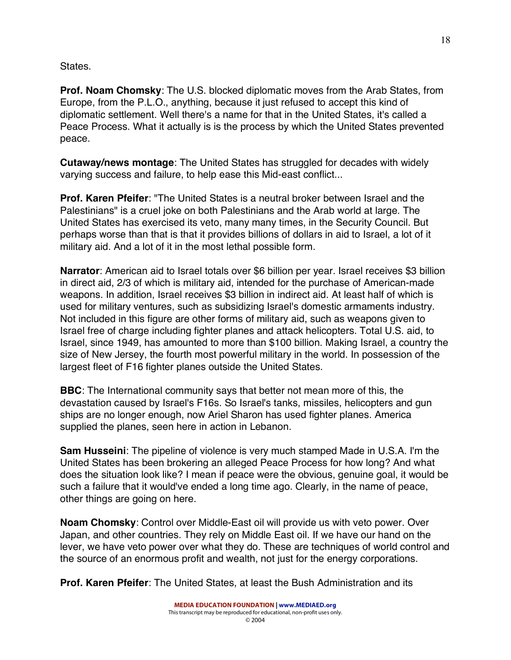States.

**Prof. Noam Chomsky**: The U.S. blocked diplomatic moves from the Arab States, from Europe, from the P.L.O., anything, because it just refused to accept this kind of diplomatic settlement. Well there's a name for that in the United States, it's called a Peace Process. What it actually is is the process by which the United States prevented peace.

**Cutaway/news montage**: The United States has struggled for decades with widely varying success and failure, to help ease this Mid-east conflict...

**Prof. Karen Pfeifer**: "The United States is a neutral broker between Israel and the Palestinians" is a cruel joke on both Palestinians and the Arab world at large. The United States has exercised its veto, many many times, in the Security Council. But perhaps worse than that is that it provides billions of dollars in aid to Israel, a lot of it military aid. And a lot of it in the most lethal possible form.

**Narrator**: American aid to Israel totals over \$6 billion per year. Israel receives \$3 billion in direct aid, 2/3 of which is military aid, intended for the purchase of American-made weapons. In addition, Israel receives \$3 billion in indirect aid. At least half of which is used for military ventures, such as subsidizing Israel's domestic armaments industry. Not included in this figure are other forms of military aid, such as weapons given to Israel free of charge including fighter planes and attack helicopters. Total U.S. aid, to Israel, since 1949, has amounted to more than \$100 billion. Making Israel, a country the size of New Jersey, the fourth most powerful military in the world. In possession of the largest fleet of F16 fighter planes outside the United States.

**BBC**: The International community says that better not mean more of this, the devastation caused by Israel's F16s. So Israel's tanks, missiles, helicopters and gun ships are no longer enough, now Ariel Sharon has used fighter planes. America supplied the planes, seen here in action in Lebanon.

**Sam Husseini**: The pipeline of violence is very much stamped Made in U.S.A. I'm the United States has been brokering an alleged Peace Process for how long? And what does the situation look like? I mean if peace were the obvious, genuine goal, it would be such a failure that it would've ended a long time ago. Clearly, in the name of peace, other things are going on here.

**Noam Chomsky**: Control over Middle-East oil will provide us with veto power. Over Japan, and other countries. They rely on Middle East oil. If we have our hand on the lever, we have veto power over what they do. These are techniques of world control and the source of an enormous profit and wealth, not just for the energy corporations.

**Prof. Karen Pfeifer**: The United States, at least the Bush Administration and its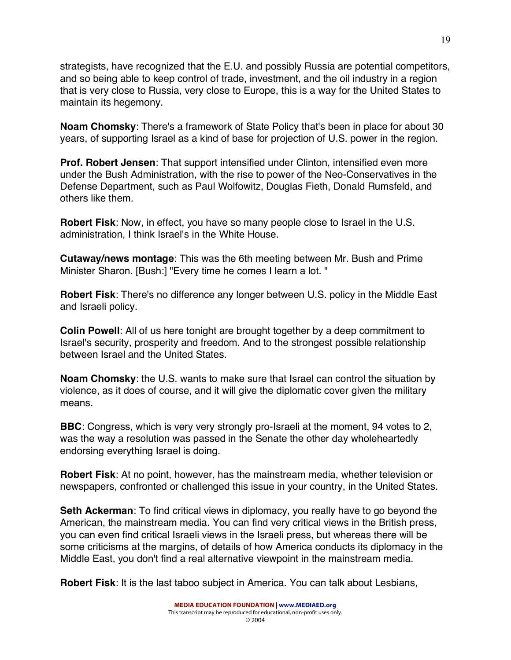strategists, have recognized that the E.U. and possibly Russia are potential competitors, and so being able to keep control of trade, investment, and the oil industry in a region that is very close to Russia, very close to Europe, this is a way for the United States to maintain its hegemony.

**Noam Chomsky**: There's a framework of State Policy that's been in place for about 30 years, of supporting Israel as a kind of base for projection of U.S. power in the region.

**Prof. Robert Jensen**: That support intensified under Clinton, intensified even more under the Bush Administration, with the rise to power of the Neo-Conservatives in the Defense Department, such as Paul Wolfowitz, Douglas Fieth, Donald Rumsfeld, and others like them.

**Robert Fisk**: Now, in effect, you have so many people close to Israel in the U.S. administration, I think Israel's in the White House.

**Cutaway/news montage**: This was the 6th meeting between Mr. Bush and Prime Minister Sharon. [Bush:] "Every time he comes I learn a lot. "

**Robert Fisk**: There's no difference any longer between U.S. policy in the Middle East and Israeli policy.

**Colin Powell**: All of us here tonight are brought together by a deep commitment to Israel's security, prosperity and freedom. And to the strongest possible relationship between Israel and the United States.

**Noam Chomsky**: the U.S. wants to make sure that Israel can control the situation by violence, as it does of course, and it will give the diplomatic cover given the military means.

**BBC**: Congress, which is very very strongly pro-Israeli at the moment, 94 votes to 2, was the way a resolution was passed in the Senate the other day wholeheartedly endorsing everything Israel is doing.

**Robert Fisk**: At no point, however, has the mainstream media, whether television or newspapers, confronted or challenged this issue in your country, in the United States.

**Seth Ackerman**: To find critical views in diplomacy, you really have to go beyond the American, the mainstream media. You can find very critical views in the British press, you can even find critical Israeli views in the Israeli press, but whereas there will be some criticisms at the margins, of details of how America conducts its diplomacy in the Middle East, you don't find a real alternative viewpoint in the mainstream media.

**Robert Fisk**: It is the last taboo subject in America. You can talk about Lesbians,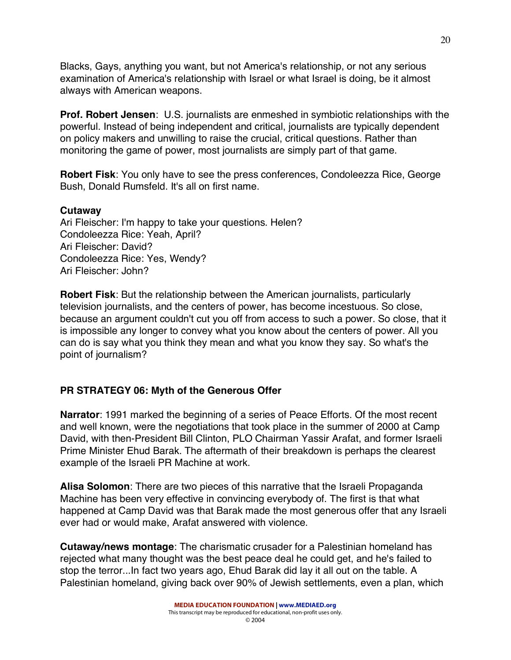Blacks, Gays, anything you want, but not America's relationship, or not any serious examination of America's relationship with Israel or what Israel is doing, be it almost always with American weapons.

**Prof. Robert Jensen**: U.S. journalists are enmeshed in symbiotic relationships with the powerful. Instead of being independent and critical, journalists are typically dependent on policy makers and unwilling to raise the crucial, critical questions. Rather than monitoring the game of power, most journalists are simply part of that game.

**Robert Fisk**: You only have to see the press conferences, Condoleezza Rice, George Bush, Donald Rumsfeld. It's all on first name.

#### **Cutaway**

Ari Fleischer: I'm happy to take your questions. Helen? Condoleezza Rice: Yeah, April? Ari Fleischer: David? Condoleezza Rice: Yes, Wendy? Ari Fleischer: John?

**Robert Fisk**: But the relationship between the American journalists, particularly television journalists, and the centers of power, has become incestuous. So close, because an argument couldn't cut you off from access to such a power. So close, that it is impossible any longer to convey what you know about the centers of power. All you can do is say what you think they mean and what you know they say. So what's the point of journalism?

# **PR STRATEGY 06: Myth of the Generous Offer**

**Narrator**: 1991 marked the beginning of a series of Peace Efforts. Of the most recent and well known, were the negotiations that took place in the summer of 2000 at Camp David, with then-President Bill Clinton, PLO Chairman Yassir Arafat, and former Israeli Prime Minister Ehud Barak. The aftermath of their breakdown is perhaps the clearest example of the Israeli PR Machine at work.

**Alisa Solomon**: There are two pieces of this narrative that the Israeli Propaganda Machine has been very effective in convincing everybody of. The first is that what happened at Camp David was that Barak made the most generous offer that any Israeli ever had or would make, Arafat answered with violence.

**Cutaway/news montage**: The charismatic crusader for a Palestinian homeland has rejected what many thought was the best peace deal he could get, and he's failed to stop the terror...In fact two years ago, Ehud Barak did lay it all out on the table. A Palestinian homeland, giving back over 90% of Jewish settlements, even a plan, which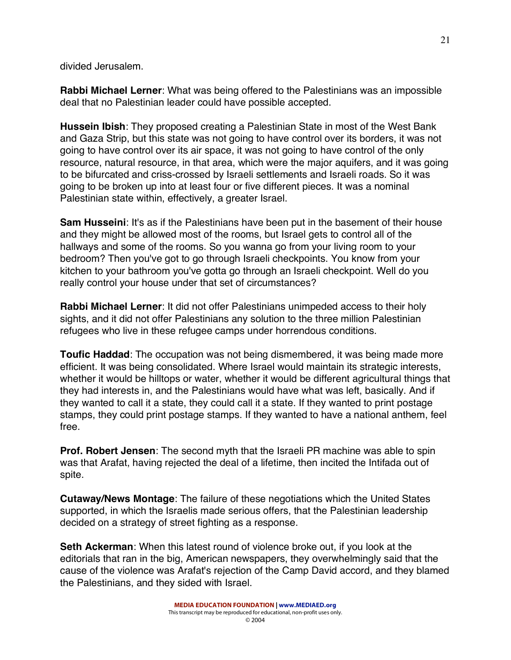divided Jerusalem.

**Rabbi Michael Lerner**: What was being offered to the Palestinians was an impossible deal that no Palestinian leader could have possible accepted.

**Hussein Ibish**: They proposed creating a Palestinian State in most of the West Bank and Gaza Strip, but this state was not going to have control over its borders, it was not going to have control over its air space, it was not going to have control of the only resource, natural resource, in that area, which were the major aquifers, and it was going to be bifurcated and criss-crossed by Israeli settlements and Israeli roads. So it was going to be broken up into at least four or five different pieces. It was a nominal Palestinian state within, effectively, a greater Israel.

**Sam Husseini**: It's as if the Palestinians have been put in the basement of their house and they might be allowed most of the rooms, but Israel gets to control all of the hallways and some of the rooms. So you wanna go from your living room to your bedroom? Then you've got to go through Israeli checkpoints. You know from your kitchen to your bathroom you've gotta go through an Israeli checkpoint. Well do you really control your house under that set of circumstances?

**Rabbi Michael Lerner**: It did not offer Palestinians unimpeded access to their holy sights, and it did not offer Palestinians any solution to the three million Palestinian refugees who live in these refugee camps under horrendous conditions.

**Toufic Haddad**: The occupation was not being dismembered, it was being made more efficient. It was being consolidated. Where Israel would maintain its strategic interests, whether it would be hilltops or water, whether it would be different agricultural things that they had interests in, and the Palestinians would have what was left, basically. And if they wanted to call it a state, they could call it a state. If they wanted to print postage stamps, they could print postage stamps. If they wanted to have a national anthem, feel free.

**Prof. Robert Jensen**: The second myth that the Israeli PR machine was able to spin was that Arafat, having rejected the deal of a lifetime, then incited the Intifada out of spite.

**Cutaway/News Montage**: The failure of these negotiations which the United States supported, in which the Israelis made serious offers, that the Palestinian leadership decided on a strategy of street fighting as a response.

**Seth Ackerman**: When this latest round of violence broke out, if you look at the editorials that ran in the big, American newspapers, they overwhelmingly said that the cause of the violence was Arafat's rejection of the Camp David accord, and they blamed the Palestinians, and they sided with Israel.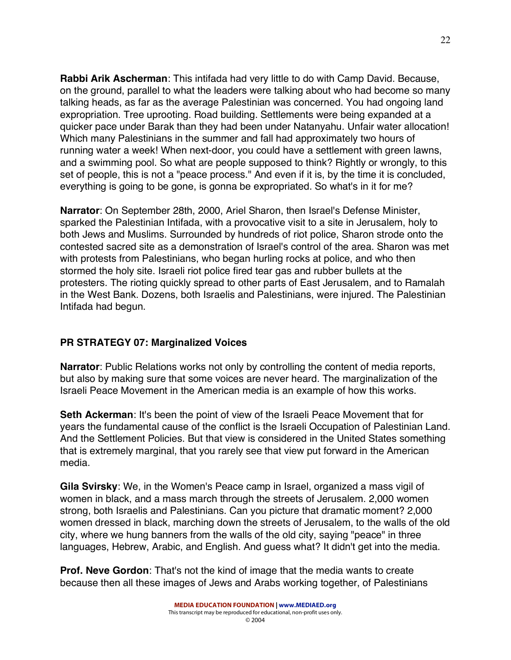**Rabbi Arik Ascherman**: This intifada had very little to do with Camp David. Because, on the ground, parallel to what the leaders were talking about who had become so many talking heads, as far as the average Palestinian was concerned. You had ongoing land expropriation. Tree uprooting. Road building. Settlements were being expanded at a quicker pace under Barak than they had been under Natanyahu. Unfair water allocation! Which many Palestinians in the summer and fall had approximately two hours of running water a week! When next-door, you could have a settlement with green lawns, and a swimming pool. So what are people supposed to think? Rightly or wrongly, to this set of people, this is not a "peace process." And even if it is, by the time it is concluded, everything is going to be gone, is gonna be expropriated. So what's in it for me?

**Narrator**: On September 28th, 2000, Ariel Sharon, then Israel's Defense Minister, sparked the Palestinian Intifada, with a provocative visit to a site in Jerusalem, holy to both Jews and Muslims. Surrounded by hundreds of riot police, Sharon strode onto the contested sacred site as a demonstration of Israel's control of the area. Sharon was met with protests from Palestinians, who began hurling rocks at police, and who then stormed the holy site. Israeli riot police fired tear gas and rubber bullets at the protesters. The rioting quickly spread to other parts of East Jerusalem, and to Ramalah in the West Bank. Dozens, both Israelis and Palestinians, were injured. The Palestinian Intifada had begun.

# **PR STRATEGY 07: Marginalized Voices**

**Narrator**: Public Relations works not only by controlling the content of media reports, but also by making sure that some voices are never heard. The marginalization of the Israeli Peace Movement in the American media is an example of how this works.

**Seth Ackerman**: It's been the point of view of the Israeli Peace Movement that for years the fundamental cause of the conflict is the Israeli Occupation of Palestinian Land. And the Settlement Policies. But that view is considered in the United States something that is extremely marginal, that you rarely see that view put forward in the American media.

**Gila Svirsky**: We, in the Women's Peace camp in Israel, organized a mass vigil of women in black, and a mass march through the streets of Jerusalem. 2,000 women strong, both Israelis and Palestinians. Can you picture that dramatic moment? 2,000 women dressed in black, marching down the streets of Jerusalem, to the walls of the old city, where we hung banners from the walls of the old city, saying "peace" in three languages, Hebrew, Arabic, and English. And guess what? It didn't get into the media.

**Prof. Neve Gordon**: That's not the kind of image that the media wants to create because then all these images of Jews and Arabs working together, of Palestinians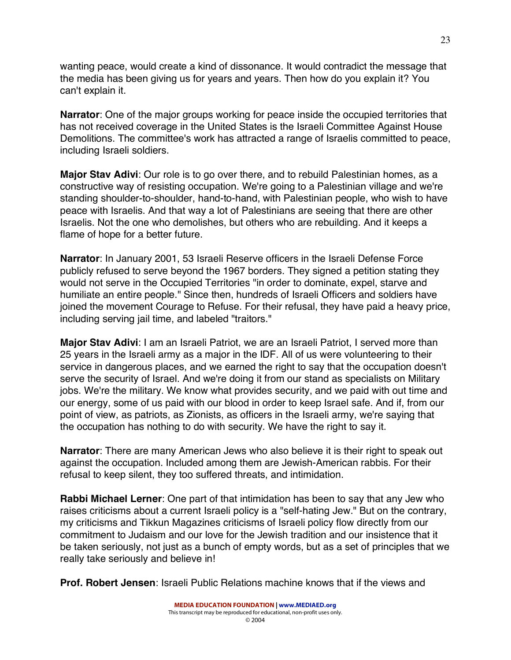wanting peace, would create a kind of dissonance. It would contradict the message that the media has been giving us for years and years. Then how do you explain it? You can't explain it.

**Narrator**: One of the major groups working for peace inside the occupied territories that has not received coverage in the United States is the Israeli Committee Against House Demolitions. The committee's work has attracted a range of Israelis committed to peace, including Israeli soldiers.

**Major Stav Adivi**: Our role is to go over there, and to rebuild Palestinian homes, as a constructive way of resisting occupation. We're going to a Palestinian village and we're standing shoulder-to-shoulder, hand-to-hand, with Palestinian people, who wish to have peace with Israelis. And that way a lot of Palestinians are seeing that there are other Israelis. Not the one who demolishes, but others who are rebuilding. And it keeps a flame of hope for a better future.

**Narrator**: In January 2001, 53 Israeli Reserve officers in the Israeli Defense Force publicly refused to serve beyond the 1967 borders. They signed a petition stating they would not serve in the Occupied Territories "in order to dominate, expel, starve and humiliate an entire people." Since then, hundreds of Israeli Officers and soldiers have joined the movement Courage to Refuse. For their refusal, they have paid a heavy price, including serving jail time, and labeled "traitors."

**Major Stav Adivi**: I am an Israeli Patriot, we are an Israeli Patriot, I served more than 25 years in the Israeli army as a major in the IDF. All of us were volunteering to their service in dangerous places, and we earned the right to say that the occupation doesn't serve the security of Israel. And we're doing it from our stand as specialists on Military jobs. We're the military. We know what provides security, and we paid with out time and our energy, some of us paid with our blood in order to keep Israel safe. And if, from our point of view, as patriots, as Zionists, as officers in the Israeli army, we're saying that the occupation has nothing to do with security. We have the right to say it.

**Narrator**: There are many American Jews who also believe it is their right to speak out against the occupation. Included among them are Jewish-American rabbis. For their refusal to keep silent, they too suffered threats, and intimidation.

**Rabbi Michael Lerner**: One part of that intimidation has been to say that any Jew who raises criticisms about a current Israeli policy is a "self-hating Jew." But on the contrary, my criticisms and Tikkun Magazines criticisms of Israeli policy flow directly from our commitment to Judaism and our love for the Jewish tradition and our insistence that it be taken seriously, not just as a bunch of empty words, but as a set of principles that we really take seriously and believe in!

**Prof. Robert Jensen**: Israeli Public Relations machine knows that if the views and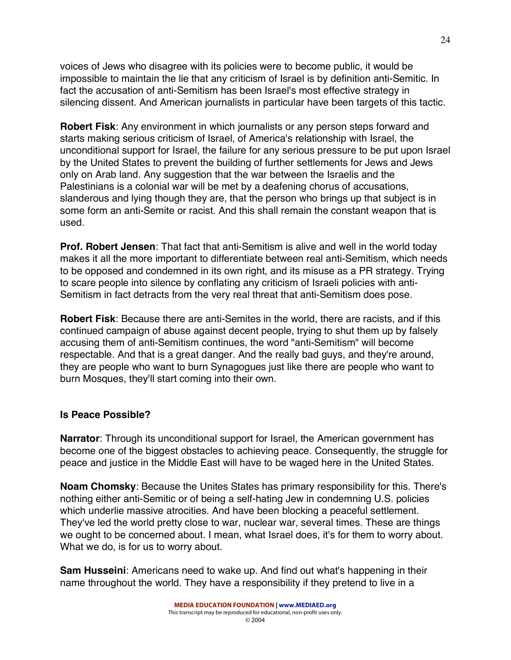voices of Jews who disagree with its policies were to become public, it would be impossible to maintain the lie that any criticism of Israel is by definition anti-Semitic. In fact the accusation of anti-Semitism has been Israel's most effective strategy in silencing dissent. And American journalists in particular have been targets of this tactic.

**Robert Fisk**: Any environment in which journalists or any person steps forward and starts making serious criticism of Israel, of America's relationship with Israel, the unconditional support for Israel, the failure for any serious pressure to be put upon Israel by the United States to prevent the building of further settlements for Jews and Jews only on Arab land. Any suggestion that the war between the Israelis and the Palestinians is a colonial war will be met by a deafening chorus of accusations, slanderous and lying though they are, that the person who brings up that subject is in some form an anti-Semite or racist. And this shall remain the constant weapon that is used.

**Prof. Robert Jensen**: That fact that anti-Semitism is alive and well in the world today makes it all the more important to differentiate between real anti-Semitism, which needs to be opposed and condemned in its own right, and its misuse as a PR strategy. Trying to scare people into silence by conflating any criticism of Israeli policies with anti-Semitism in fact detracts from the very real threat that anti-Semitism does pose.

**Robert Fisk**: Because there are anti-Semites in the world, there are racists, and if this continued campaign of abuse against decent people, trying to shut them up by falsely accusing them of anti-Semitism continues, the word "anti-Semitism" will become respectable. And that is a great danger. And the really bad guys, and they're around, they are people who want to burn Synagogues just like there are people who want to burn Mosques, they'll start coming into their own.

# **Is Peace Possible?**

**Narrator**: Through its unconditional support for Israel, the American government has become one of the biggest obstacles to achieving peace. Consequently, the struggle for peace and justice in the Middle East will have to be waged here in the United States.

**Noam Chomsky**: Because the Unites States has primary responsibility for this. There's nothing either anti-Semitic or of being a self-hating Jew in condemning U.S. policies which underlie massive atrocities. And have been blocking a peaceful settlement. They've led the world pretty close to war, nuclear war, several times. These are things we ought to be concerned about. I mean, what Israel does, it's for them to worry about. What we do, is for us to worry about.

**Sam Husseini**: Americans need to wake up. And find out what's happening in their name throughout the world. They have a responsibility if they pretend to live in a